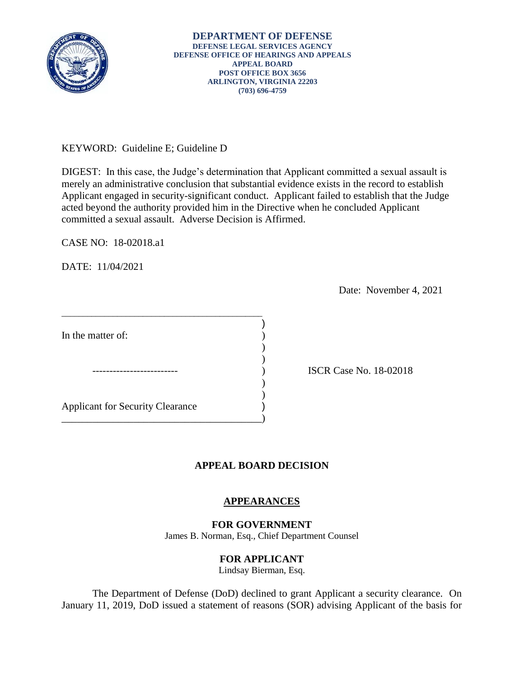

KEYWORD: Guideline E; Guideline D

DIGEST: In this case, the Judge's determination that Applicant committed a sexual assault is merely an administrative conclusion that substantial evidence exists in the record to establish Applicant engaged in security-significant conduct. Applicant failed to establish that the Judge acted beyond the authority provided him in the Directive when he concluded Applicant committed a sexual assault. Adverse Decision is Affirmed.

CASE NO: 18-02018.a1

DATE: 11/04/2021

Date: November 4, 2021

| In the matter of:                       |  |
|-----------------------------------------|--|
|                                         |  |
|                                         |  |
|                                         |  |
| <b>Applicant for Security Clearance</b> |  |
|                                         |  |

\_\_\_\_\_\_\_\_\_\_\_\_\_\_\_\_\_\_\_\_\_\_\_\_\_\_\_\_\_\_\_\_\_\_\_\_\_\_\_\_\_\_\_\_\_\_\_

) ISCR Case No. 18-02018

## **APPEAL BOARD DECISION**

# **APPEARANCES**

#### **FOR GOVERNMENT**

James B. Norman, Esq., Chief Department Counsel

## **FOR APPLICANT**

Lindsay Bierman, Esq.

The Department of Defense (DoD) declined to grant Applicant a security clearance. On January 11, 2019, DoD issued a statement of reasons (SOR) advising Applicant of the basis for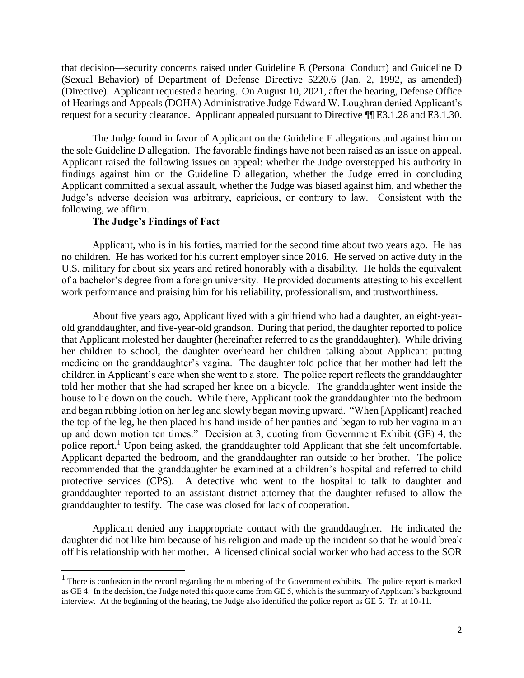that decision—security concerns raised under Guideline E (Personal Conduct) and Guideline D (Sexual Behavior) of Department of Defense Directive 5220.6 (Jan. 2, 1992, as amended) (Directive). Applicant requested a hearing. On August 10, 2021, after the hearing, Defense Office of Hearings and Appeals (DOHA) Administrative Judge Edward W. Loughran denied Applicant's request for a security clearance. Applicant appealed pursuant to Directive ¶¶ E3.1.28 and E3.1.30.

 Judge's adverse decision was arbitrary, capricious, or contrary to law. Consistent with the The Judge found in favor of Applicant on the Guideline E allegations and against him on the sole Guideline D allegation. The favorable findings have not been raised as an issue on appeal. Applicant raised the following issues on appeal: whether the Judge overstepped his authority in findings against him on the Guideline D allegation, whether the Judge erred in concluding Applicant committed a sexual assault, whether the Judge was biased against him, and whether the following, we affirm.

#### **The Judge's Findings of Fact**

 of a bachelor's degree from a foreign university. He provided documents attesting to his excellent Applicant, who is in his forties, married for the second time about two years ago. He has no children. He has worked for his current employer since 2016. He served on active duty in the U.S. military for about six years and retired honorably with a disability. He holds the equivalent work performance and praising him for his reliability, professionalism, and trustworthiness.

 children in Applicant's care when she went to a store. The police report reflects the granddaughter and began rubbing lotion on her leg and slowly began moving upward. "When [Applicant] reached up and down motion ten times." Decision at 3, quoting from Government Exhibit (GE) 4, the recommended that the granddaughter be examined at a children's hospital and referred to child About five years ago, Applicant lived with a girlfriend who had a daughter, an eight-yearold granddaughter, and five-year-old grandson. During that period, the daughter reported to police that Applicant molested her daughter (hereinafter referred to as the granddaughter). While driving her children to school, the daughter overheard her children talking about Applicant putting medicine on the granddaughter's vagina. The daughter told police that her mother had left the told her mother that she had scraped her knee on a bicycle. The granddaughter went inside the house to lie down on the couch. While there, Applicant took the granddaughter into the bedroom the top of the leg, he then placed his hand inside of her panties and began to rub her vagina in an police report.<sup>1</sup> Upon being asked, the granddaughter told Applicant that she felt uncomfortable. Applicant departed the bedroom, and the granddaughter ran outside to her brother. The police protective services (CPS). A detective who went to the hospital to talk to daughter and granddaughter reported to an assistant district attorney that the daughter refused to allow the granddaughter to testify. The case was closed for lack of cooperation.

Applicant denied any inappropriate contact with the granddaughter. He indicated the daughter did not like him because of his religion and made up the incident so that he would break off his relationship with her mother. A licensed clinical social worker who had access to the SOR

 $1$  There is confusion in the record regarding the numbering of the Government exhibits. The police report is marked as GE 4. In the decision, the Judge noted this quote came from GE 5, which is the summary of Applicant's background interview. At the beginning of the hearing, the Judge also identified the police report as GE 5. Tr. at 10-11.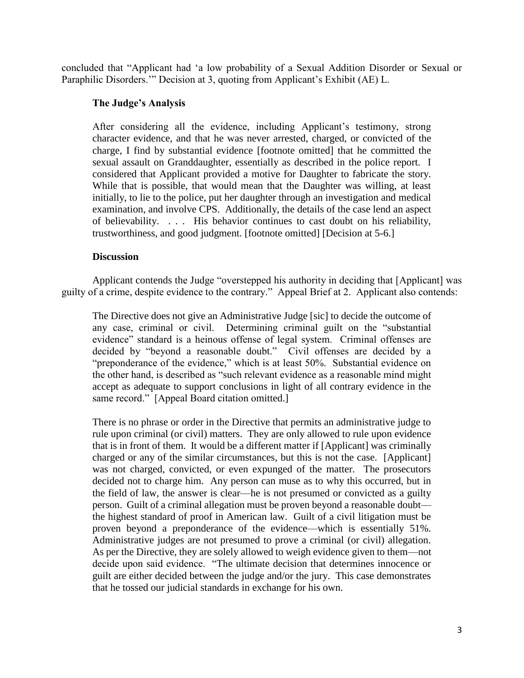concluded that "Applicant had 'a low probability of a Sexual Addition Disorder or Sexual or Paraphilic Disorders.'" Decision at 3, quoting from Applicant's Exhibit (AE) L.

### **The Judge's Analysis**

 After considering all the evidence, including Applicant's testimony, strong character evidence, and that he was never arrested, charged, or convicted of the charge, I find by substantial evidence [footnote omitted] that he committed the sexual assault on Granddaughter, essentially as described in the police report. I considered that Applicant provided a motive for Daughter to fabricate the story. While that is possible, that would mean that the Daughter was willing, at least initially, to lie to the police, put her daughter through an investigation and medical examination, and involve CPS. Additionally, the details of the case lend an aspect of believability. . . . His behavior continues to cast doubt on his reliability, trustworthiness, and good judgment. [footnote omitted] [Decision at 5-6.]

#### **Discussion**

 Applicant contends the Judge "overstepped his authority in deciding that [Applicant] was guilty of a crime, despite evidence to the contrary." Appeal Brief at 2. Applicant also contends:

 evidence" standard is a heinous offense of legal system. Criminal offenses are decided by "beyond a reasonable doubt." Civil offenses are decided by a "preponderance of the evidence," which is at least 50%. Substantial evidence on The Directive does not give an Administrative Judge [sic] to decide the outcome of any case, criminal or civil. Determining criminal guilt on the "substantial the other hand, is described as "such relevant evidence as a reasonable mind might accept as adequate to support conclusions in light of all contrary evidence in the same record." [Appeal Board citation omitted.]

There is no phrase or order in the Directive that permits an administrative judge to rule upon criminal (or civil) matters. They are only allowed to rule upon evidence that is in front of them. It would be a different matter if [Applicant] was criminally charged or any of the similar circumstances, but this is not the case. [Applicant] was not charged, convicted, or even expunged of the matter. The prosecutors decided not to charge him. Any person can muse as to why this occurred, but in the field of law, the answer is clear—he is not presumed or convicted as a guilty person. Guilt of a criminal allegation must be proven beyond a reasonable doubt the highest standard of proof in American law. Guilt of a civil litigation must be proven beyond a preponderance of the evidence—which is essentially 51%. Administrative judges are not presumed to prove a criminal (or civil) allegation. As per the Directive, they are solely allowed to weigh evidence given to them—not decide upon said evidence. "The ultimate decision that determines innocence or guilt are either decided between the judge and/or the jury. This case demonstrates that he tossed our judicial standards in exchange for his own.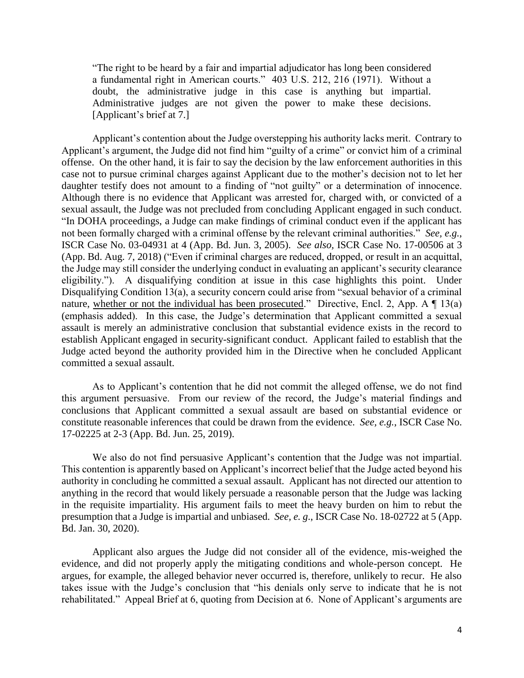a fundamental right in American courts." 403 U.S. 212, 216 (1971). Without a "The right to be heard by a fair and impartial adjudicator has long been considered doubt, the administrative judge in this case is anything but impartial. Administrative judges are not given the power to make these decisions. [Applicant's brief at 7.]

 Applicant's contention about the Judge overstepping his authority lacks merit. Contrary to case not to pursue criminal charges against Applicant due to the mother's decision not to let her daughter testify does not amount to a finding of "not guilty" or a determination of innocence. the Judge may still consider the underlying conduct in evaluating an applicant's security clearance nature, whether or not the individual has been prosecuted." Directive, Encl. 2, App. A  $\P$  13(a) (emphasis added). In this case, the Judge's determination that Applicant committed a sexual Applicant's argument, the Judge did not find him "guilty of a crime" or convict him of a criminal offense. On the other hand, it is fair to say the decision by the law enforcement authorities in this Although there is no evidence that Applicant was arrested for, charged with, or convicted of a sexual assault, the Judge was not precluded from concluding Applicant engaged in such conduct. "In DOHA proceedings, a Judge can make findings of criminal conduct even if the applicant has not been formally charged with a criminal offense by the relevant criminal authorities." *See, e.g.*, ISCR Case No. 03-04931 at 4 (App. Bd. Jun. 3, 2005). *See also,* ISCR Case No. 17-00506 at 3 (App. Bd. Aug. 7, 2018) ("Even if criminal charges are reduced, dropped, or result in an acquittal, eligibility."). A disqualifying condition at issue in this case highlights this point. Under Disqualifying Condition 13(a), a security concern could arise from "sexual behavior of a criminal assault is merely an administrative conclusion that substantial evidence exists in the record to establish Applicant engaged in security-significant conduct. Applicant failed to establish that the Judge acted beyond the authority provided him in the Directive when he concluded Applicant committed a sexual assault.

 As to Applicant's contention that he did not commit the alleged offense, we do not find this argument persuasive. From our review of the record, the Judge's material findings and conclusions that Applicant committed a sexual assault are based on substantial evidence or constitute reasonable inferences that could be drawn from the evidence. *See, e.g.*, ISCR Case No. 17-02225 at 2-3 (App. Bd. Jun. 25, 2019).

 We also do not find persuasive Applicant's contention that the Judge was not impartial. This contention is apparently based on Applicant's incorrect belief that the Judge acted beyond his authority in concluding he committed a sexual assault. Applicant has not directed our attention to anything in the record that would likely persuade a reasonable person that the Judge was lacking in the requisite impartiality. His argument fails to meet the heavy burden on him to rebut the presumption that a Judge is impartial and unbiased. *See, e. g*., ISCR Case No. 18-02722 at 5 (App. Bd. Jan. 30, 2020).

 takes issue with the Judge's conclusion that "his denials only serve to indicate that he is not Applicant also argues the Judge did not consider all of the evidence, mis-weighed the evidence, and did not properly apply the mitigating conditions and whole-person concept. He argues, for example, the alleged behavior never occurred is, therefore, unlikely to recur. He also rehabilitated." Appeal Brief at 6, quoting from Decision at 6. None of Applicant's arguments are